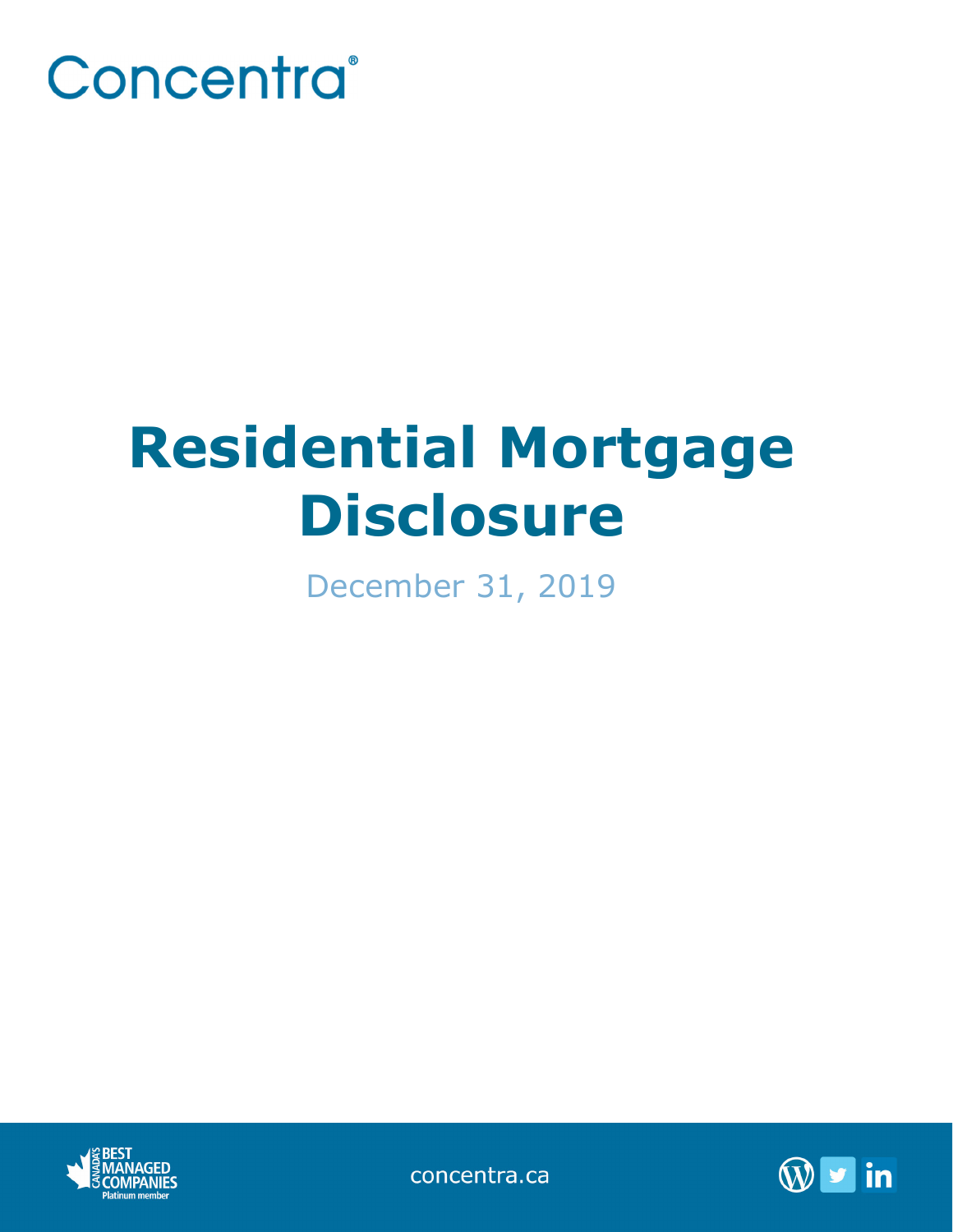

# **Residential Mortgage Disclosure**

December 31, 2019



concentra.ca

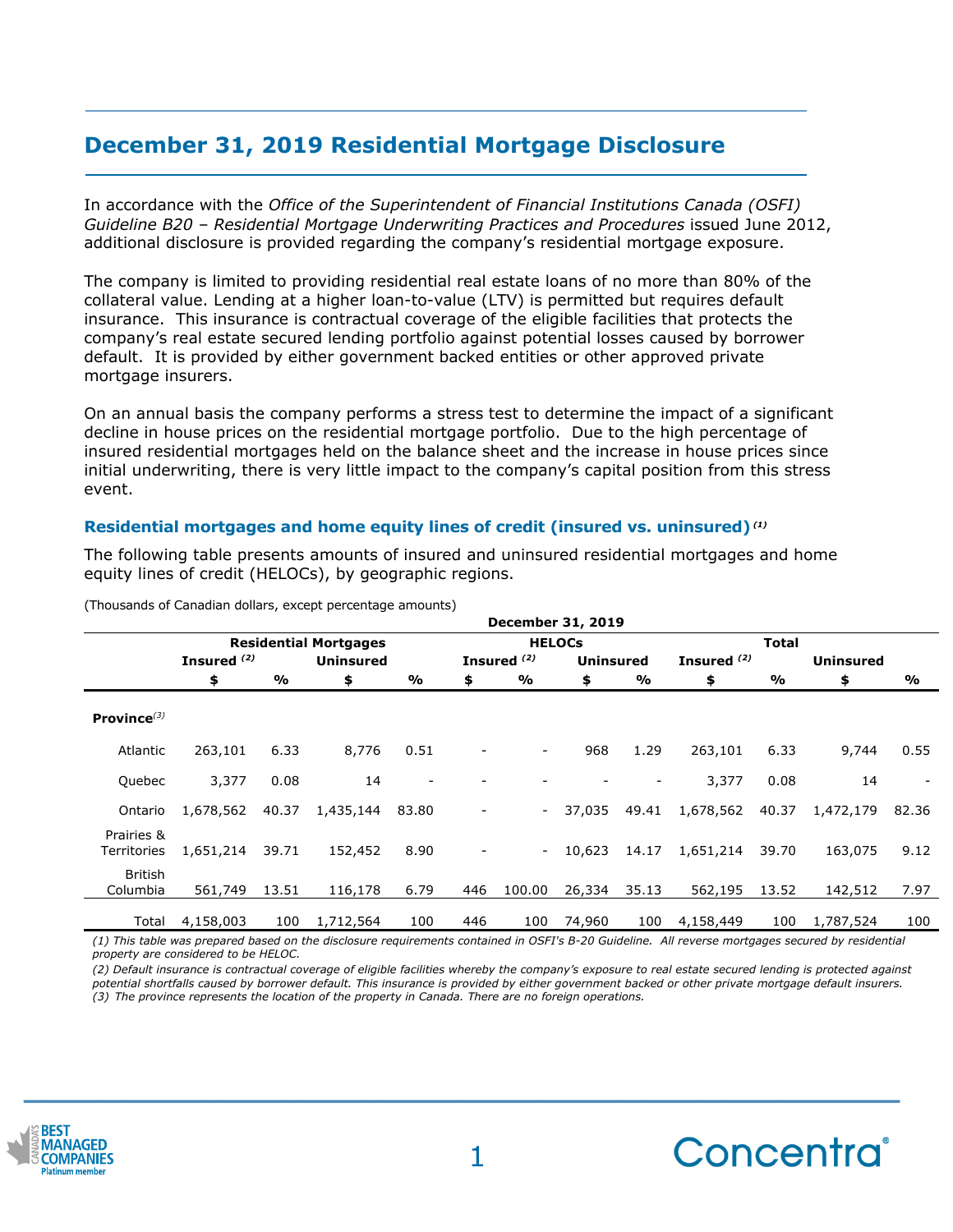# **December 31, 2019 Residential Mortgage Disclosure**

In accordance with the *Office of the Superintendent of Financial Institutions Canada (OSFI) Guideline B20 – Residential Mortgage Underwriting Practices and Procedures* issued June 2012, additional disclosure is provided regarding the company's residential mortgage exposure.

The company is limited to providing residential real estate loans of no more than 80% of the collateral value. Lending at a higher loan-to-value (LTV) is permitted but requires default insurance. This insurance is contractual coverage of the eligible facilities that protects the company's real estate secured lending portfolio against potential losses caused by borrower default. It is provided by either government backed entities or other approved private mortgage insurers.

On an annual basis the company performs a stress test to determine the impact of a significant decline in house prices on the residential mortgage portfolio. Due to the high percentage of insured residential mortgages held on the balance sheet and the increase in house prices since initial underwriting, there is very little impact to the company's capital position from this stress event.

## **Residential mortgages and home equity lines of credit (insured vs. uninsured)** *(1)*

The following table presents amounts of insured and uninsured residential mortgages and home equity lines of credit (HELOCs), by geographic regions.

|                           |                        |       |                              |       |                          | December 31, 2019 |                  |       |               |              |                  |                          |
|---------------------------|------------------------|-------|------------------------------|-------|--------------------------|-------------------|------------------|-------|---------------|--------------|------------------|--------------------------|
|                           |                        |       | <b>Residential Mortgages</b> |       |                          |                   | <b>HELOCS</b>    |       |               | <b>Total</b> |                  |                          |
|                           | Insured <sup>(2)</sup> |       | <b>Uninsured</b>             |       |                          | Insured $(2)$     | <b>Uninsured</b> |       | Insured $(2)$ |              | <b>Uninsured</b> |                          |
|                           | \$                     | %     | \$                           | %     | \$                       | %                 | \$               | %     | \$            | %            | \$               | %                        |
| Province $(3)$            |                        |       |                              |       |                          |                   |                  |       |               |              |                  |                          |
| Atlantic                  | 263,101                | 6.33  | 8,776                        | 0.51  |                          |                   | 968              | 1.29  | 263,101       | 6.33         | 9.744            | 0.55                     |
| Quebec                    | 3,377                  | 0.08  | 14                           |       |                          |                   |                  |       | 3,377         | 0.08         | 14               | $\overline{\phantom{a}}$ |
| Ontario                   | 1,678,562              | 40.37 | 1,435,144                    | 83.80 | $\overline{\phantom{a}}$ | $\sim$            | 37,035           | 49.41 | 1,678,562     | 40.37        | 1,472,179        | 82.36                    |
| Prairies &<br>Territories | 1,651,214              | 39.71 | 152,452                      | 8.90  |                          | $-$               | 10,623           | 14.17 | 1,651,214     | 39.70        | 163,075          | 9.12                     |
| British<br>Columbia       | 561,749                | 13.51 | 116,178                      | 6.79  | 446                      | 100.00            | 26,334           | 35.13 | 562,195       | 13.52        | 142,512          | 7.97                     |
| Total                     | 4,158,003              | 100   | 1,712,564                    | 100   | 446                      | 100               | 74,960           | 100   | 4,158,449     | 100          | 1,787,524        | 100                      |

(Thousands of Canadian dollars, except percentage amounts)

*(1) This table was prepared based on the disclosure requirements contained in OSFI's B-20 Guideline. All reverse mortgages secured by residential property are considered to be HELOC.* 

*(2) Default insurance is contractual coverage of eligible facilities whereby the company's exposure to real estate secured lending is protected against potential shortfalls caused by borrower default. This insurance is provided by either government backed or other private mortgage default insurers. (3) The province represents the location of the property in Canada. There are no foreign operations.* 



**\_\_\_\_\_\_\_\_\_\_\_\_\_\_\_\_\_\_\_\_\_\_\_\_\_\_\_\_\_\_\_\_\_\_\_\_\_\_\_\_\_\_\_\_**